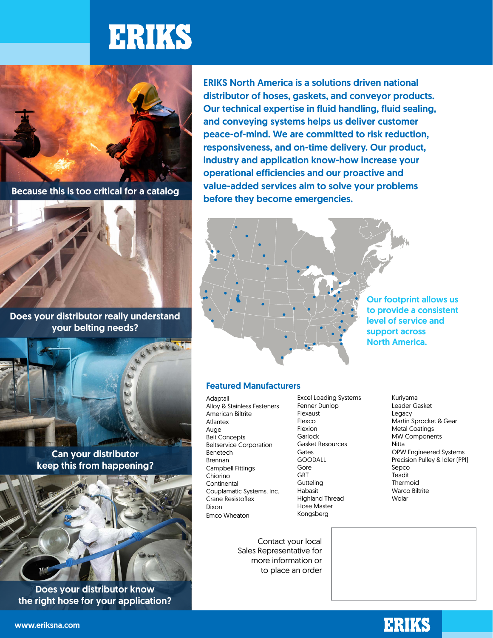# **ERIKS**



Because this is too critical for a catalog



Does your distributor really understand your belting needs?



Can your distributor keep this from happening?

Does your distributor know the right hose for your application? ERIKS North America is a solutions driven national distributor of hoses, gaskets, and conveyor products. Our technical expertise in fluid handling, fluid sealing, and conveying systems helps us deliver customer peace-of-mind. We are committed to risk reduction, responsiveness, and on-time delivery. Our product, industry and application know-how increase your operational efficiencies and our proactive and value-added services aim to solve your problems before they become emergencies.



# Featured Manufacturers

- Adaptall Alloy & Stainless Fasteners American Biltrite Atlantex Auge Belt Concepts Beltservice Corporation Benetech Brennan Campbell Fittings Chiorino Continental Couplamatic Systems, Inc. Crane Resistoflex Dixon Emco Wheaton
- Excel Loading Systems Fenner Dunlop Flexaust Flexco Flexion Garlock Gasket Resources Gates GOODALL Gore GRT **Gutteling** Habasit Highland Thread Hose Master Kongsberg

Kuriyama Leader Gasket Legacy Martin Sprocket & Gear Metal Coatings MW Components Nitta OPW Engineered Systems Precision Pulley & Idler (PPI) Sepco **Teadit** Thermoid Warco Biltrite Wolar

Contact your local Sales Representative for more information or to place an order